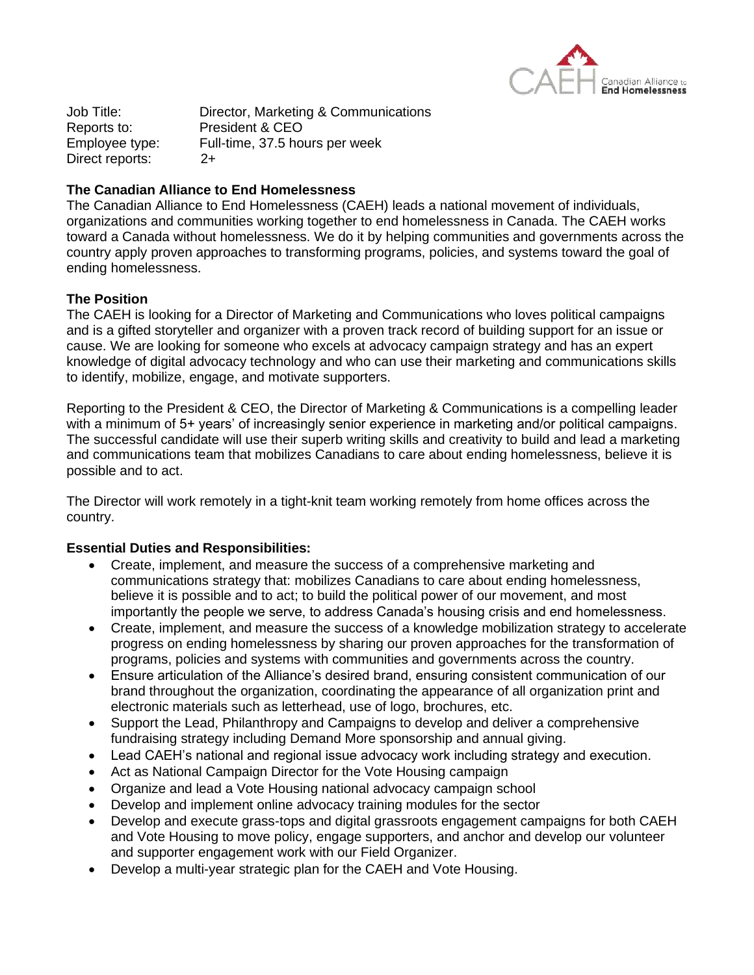

Job Title: Director, Marketing & Communications Reports to: President & CEO Employee type: Full-time, 37.5 hours per week Direct reports: 2+

## **The Canadian Alliance to End Homelessness**

The Canadian Alliance to End Homelessness (CAEH) leads a national movement of individuals, organizations and communities working together to end homelessness in Canada. The CAEH works toward a Canada without homelessness. We do it by helping communities and governments across the country apply proven approaches to transforming programs, policies, and systems toward the goal of ending homelessness.

# **The Position**

The CAEH is looking for a Director of Marketing and Communications who loves political campaigns and is a gifted storyteller and organizer with a proven track record of building support for an issue or cause. We are looking for someone who excels at advocacy campaign strategy and has an expert knowledge of digital advocacy technology and who can use their marketing and communications skills to identify, mobilize, engage, and motivate supporters.

Reporting to the President & CEO, the Director of Marketing & Communications is a compelling leader with a minimum of 5+ years' of increasingly senior experience in marketing and/or political campaigns. The successful candidate will use their superb writing skills and creativity to build and lead a marketing and communications team that mobilizes Canadians to care about ending homelessness, believe it is possible and to act.

The Director will work remotely in a tight-knit team working remotely from home offices across the country.

#### **Essential Duties and Responsibilities:**

- Create, implement, and measure the success of a comprehensive marketing and communications strategy that: mobilizes Canadians to care about ending homelessness, believe it is possible and to act; to build the political power of our movement, and most importantly the people we serve, to address Canada's housing crisis and end homelessness.
- Create, implement, and measure the success of a knowledge mobilization strategy to accelerate progress on ending homelessness by sharing our proven approaches for the transformation of programs, policies and systems with communities and governments across the country.
- Ensure articulation of the Alliance's desired brand, ensuring consistent communication of our brand throughout the organization, coordinating the appearance of all organization print and electronic materials such as letterhead, use of logo, brochures, etc.
- Support the Lead, Philanthropy and Campaigns to develop and deliver a comprehensive fundraising strategy including Demand More sponsorship and annual giving.
- Lead CAEH's national and regional issue advocacy work including strategy and execution.
- Act as National Campaign Director for the Vote Housing campaign
- Organize and lead a Vote Housing national advocacy campaign school
- Develop and implement online advocacy training modules for the sector
- Develop and execute grass-tops and digital grassroots engagement campaigns for both CAEH and Vote Housing to move policy, engage supporters, and anchor and develop our volunteer and supporter engagement work with our Field Organizer.
- Develop a multi-year strategic plan for the CAEH and Vote Housing.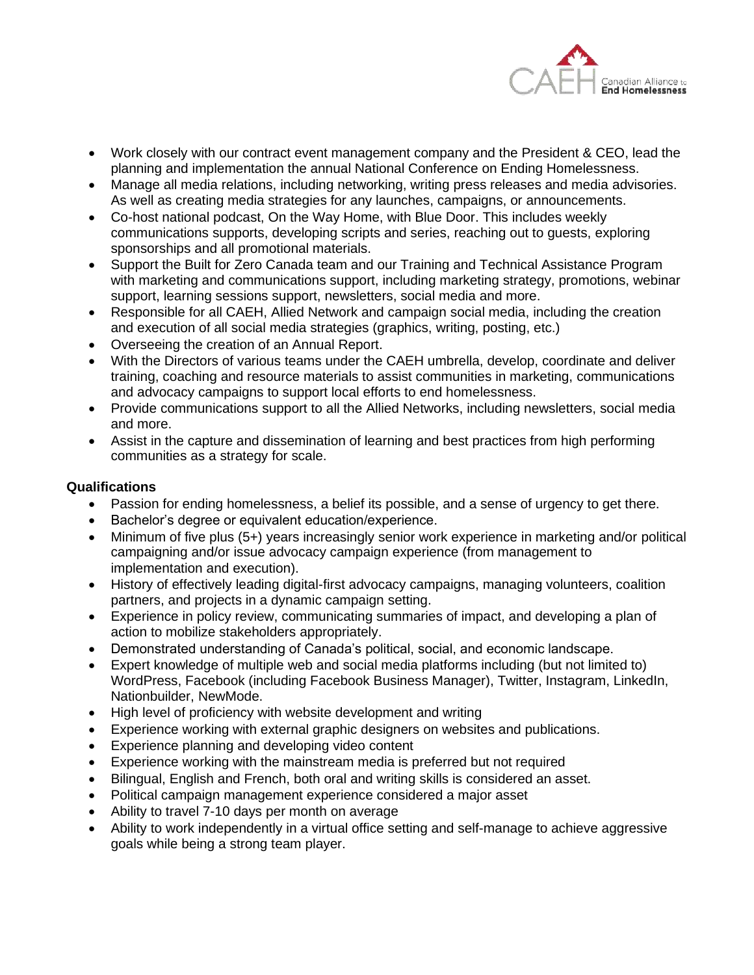

- Work closely with our contract event management company and the President & CEO, lead the planning and implementation the annual National Conference on Ending Homelessness.
- Manage all media relations, including networking, writing press releases and media advisories. As well as creating media strategies for any launches, campaigns, or announcements.
- Co-host national podcast, On the Way Home, with Blue Door. This includes weekly communications supports, developing scripts and series, reaching out to guests, exploring sponsorships and all promotional materials.
- Support the Built for Zero Canada team and our Training and Technical Assistance Program with marketing and communications support, including marketing strategy, promotions, webinar support, learning sessions support, newsletters, social media and more.
- Responsible for all CAEH, Allied Network and campaign social media, including the creation and execution of all social media strategies (graphics, writing, posting, etc.)
- Overseeing the creation of an Annual Report.
- With the Directors of various teams under the CAEH umbrella, develop, coordinate and deliver training, coaching and resource materials to assist communities in marketing, communications and advocacy campaigns to support local efforts to end homelessness.
- Provide communications support to all the Allied Networks, including newsletters, social media and more.
- Assist in the capture and dissemination of learning and best practices from high performing communities as a strategy for scale.

# **Qualifications**

- Passion for ending homelessness, a belief its possible, and a sense of urgency to get there.
- Bachelor's degree or equivalent education/experience.
- Minimum of five plus (5+) years increasingly senior work experience in marketing and/or political campaigning and/or issue advocacy campaign experience (from management to implementation and execution).
- History of effectively leading digital-first advocacy campaigns, managing volunteers, coalition partners, and projects in a dynamic campaign setting.
- Experience in policy review, communicating summaries of impact, and developing a plan of action to mobilize stakeholders appropriately.
- Demonstrated understanding of Canada's political, social, and economic landscape.
- Expert knowledge of multiple web and social media platforms including (but not limited to) WordPress, Facebook (including Facebook Business Manager), Twitter, Instagram, LinkedIn, Nationbuilder, NewMode.
- High level of proficiency with website development and writing
- Experience working with external graphic designers on websites and publications.
- Experience planning and developing video content
- Experience working with the mainstream media is preferred but not required
- Bilingual, English and French, both oral and writing skills is considered an asset.
- Political campaign management experience considered a major asset
- Ability to travel 7-10 days per month on average
- Ability to work independently in a virtual office setting and self-manage to achieve aggressive goals while being a strong team player.